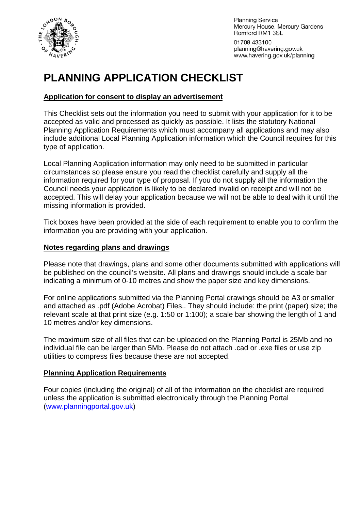

**Planning Service** Mercury House, Mercury Gardens Romford RM1 3SL

01708 433100 planning@havering.gov.uk www.havering.gov.uk/planning

# **PLANNING APPLICATION CHECKLIST**

#### **Application for consent to display an advertisement**

This Checklist sets out the information you need to submit with your application for it to be accepted as valid and processed as quickly as possible. It lists the statutory National Planning Application Requirements which must accompany all applications and may also include additional Local Planning Application information which the Council requires for this type of application.

Local Planning Application information may only need to be submitted in particular circumstances so please ensure you read the checklist carefully and supply all the information required for your type of proposal. If you do not supply all the information the Council needs your application is likely to be declared invalid on receipt and will not be accepted. This will delay your application because we will not be able to deal with it until the missing information is provided.

Tick boxes have been provided at the side of each requirement to enable you to confirm the information you are providing with your application.

#### **Notes regarding plans and drawings**

Please note that drawings, plans and some other documents submitted with applications will be published on the council's website. All plans and drawings should include a scale bar indicating a minimum of 0-10 metres and show the paper size and key dimensions.

For online applications submitted via the Planning Portal drawings should be A3 or smaller and attached as .pdf (Adobe Acrobat) Files.. They should include: the print (paper) size; the relevant scale at that print size (e.g. 1:50 or 1:100); a scale bar showing the length of 1 and 10 metres and/or key dimensions.

The maximum size of all files that can be uploaded on the Planning Portal is 25Mb and no individual file can be larger than 5Mb. Please do not attach .cad or .exe files or use zip utilities to compress files because these are not accepted.

#### **Planning Application Requirements**

Four copies (including the original) of all of the information on the checklist are required unless the application is submitted electronically through the Planning Portal ([www.planningportal.gov.uk](http://www.planningportal.gov.uk/))